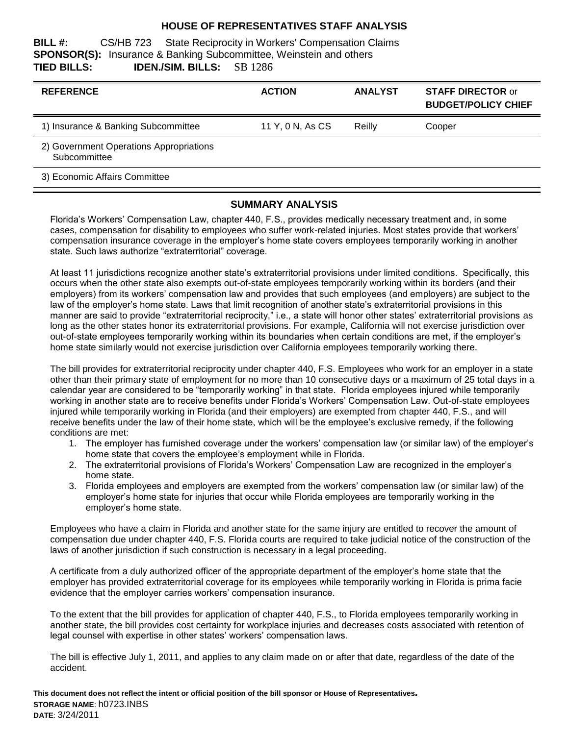#### **HOUSE OF REPRESENTATIVES STAFF ANALYSIS**

**BILL #:** CS/HB 723 State Reciprocity in Workers' Compensation Claims **SPONSOR(S):** Insurance & Banking Subcommittee, Weinstein and others **TIED BILLS: IDEN./SIM. BILLS:** SB 1286

| <b>REFERENCE</b>                                        | <b>ACTION</b>    | <b>ANALYST</b> | <b>STAFF DIRECTOR or</b><br><b>BUDGET/POLICY CHIEF</b> |
|---------------------------------------------------------|------------------|----------------|--------------------------------------------------------|
| 1) Insurance & Banking Subcommittee                     | 11 Y, 0 N, As CS | Reilly         | Cooper                                                 |
| 2) Government Operations Appropriations<br>Subcommittee |                  |                |                                                        |
| 3) Economic Affairs Committee                           |                  |                |                                                        |

#### **SUMMARY ANALYSIS**

Florida's Workers' Compensation Law, chapter 440, F.S., provides medically necessary treatment and, in some cases, compensation for disability to employees who suffer work-related injuries. Most states provide that workers' compensation insurance coverage in the employer's home state covers employees temporarily working in another state. Such laws authorize "extraterritorial" coverage.

At least 11 jurisdictions recognize another state's extraterritorial provisions under limited conditions. Specifically, this occurs when the other state also exempts out-of-state employees temporarily working within its borders (and their employers) from its workers' compensation law and provides that such employees (and employers) are subject to the law of the employer's home state. Laws that limit recognition of another state's extraterritorial provisions in this manner are said to provide "extraterritorial reciprocity," i.e., a state will honor other states' extraterritorial provisions as long as the other states honor its extraterritorial provisions. For example, California will not exercise jurisdiction over out-of-state employees temporarily working within its boundaries when certain conditions are met, if the employer's home state similarly would not exercise jurisdiction over California employees temporarily working there.

The bill provides for extraterritorial reciprocity under chapter 440, F.S. Employees who work for an employer in a state other than their primary state of employment for no more than 10 consecutive days or a maximum of 25 total days in a calendar year are considered to be "temporarily working" in that state. Florida employees injured while temporarily working in another state are to receive benefits under Florida's Workers' Compensation Law. Out-of-state employees injured while temporarily working in Florida (and their employers) are exempted from chapter 440, F.S., and will receive benefits under the law of their home state, which will be the employee's exclusive remedy, if the following conditions are met:

- 1. The employer has furnished coverage under the workers' compensation law (or similar law) of the employer's home state that covers the employee's employment while in Florida.
- 2. The extraterritorial provisions of Florida's Workers' Compensation Law are recognized in the employer's home state.
- 3. Florida employees and employers are exempted from the workers' compensation law (or similar law) of the employer's home state for injuries that occur while Florida employees are temporarily working in the employer's home state.

Employees who have a claim in Florida and another state for the same injury are entitled to recover the amount of compensation due under chapter 440, F.S. Florida courts are required to take judicial notice of the construction of the laws of another jurisdiction if such construction is necessary in a legal proceeding.

A certificate from a duly authorized officer of the appropriate department of the employer's home state that the employer has provided extraterritorial coverage for its employees while temporarily working in Florida is prima facie evidence that the employer carries workers' compensation insurance.

To the extent that the bill provides for application of chapter 440, F.S., to Florida employees temporarily working in another state, the bill provides cost certainty for workplace injuries and decreases costs associated with retention of legal counsel with expertise in other states' workers' compensation laws.

The bill is effective July 1, 2011, and applies to any claim made on or after that date, regardless of the date of the accident.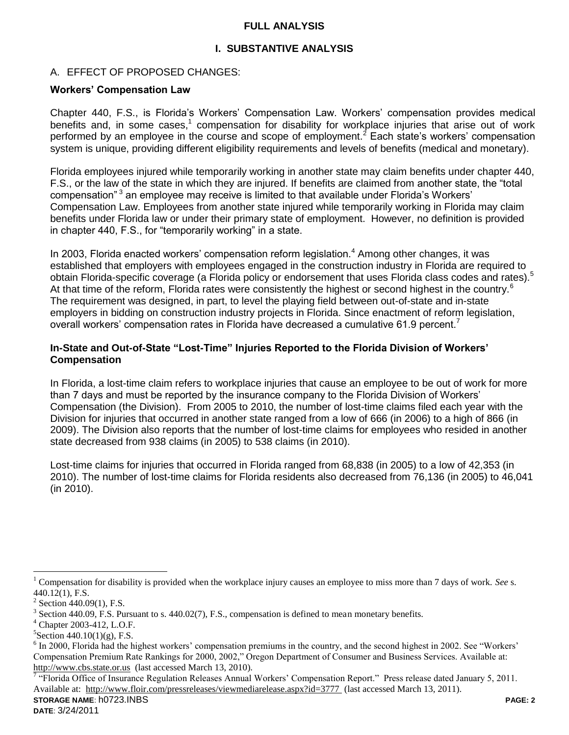#### **FULL ANALYSIS**

### **I. SUBSTANTIVE ANALYSIS**

#### A. EFFECT OF PROPOSED CHANGES:

#### **Workers' Compensation Law**

Chapter 440, F.S., is Florida's Workers' Compensation Law. Workers' compensation provides medical benefits and, in some cases,<sup>1</sup> compensation for disability for workplace injuries that arise out of work performed by an employee in the course and scope of employment. $2$  Each state's workers' compensation system is unique, providing different eligibility requirements and levels of benefits (medical and monetary).

Florida employees injured while temporarily working in another state may claim benefits under chapter 440, F.S., or the law of the state in which they are injured. If benefits are claimed from another state, the "total compensation"<sup>3</sup> an employee may receive is limited to that available under Florida's Workers' Compensation Law. Employees from another state injured while temporarily working in Florida may claim benefits under Florida law or under their primary state of employment. However, no definition is provided in chapter 440, F.S., for "temporarily working" in a state.

In 2003, Florida enacted workers' compensation reform legislation.<sup>4</sup> Among other changes, it was established that employers with employees engaged in the construction industry in Florida are required to obtain Florida-specific coverage (a Florida policy or endorsement that uses Florida class codes and rates).<sup>5</sup> At that time of the reform, Florida rates were consistently the highest or second highest in the country.<sup>6</sup> The requirement was designed, in part, to level the playing field between out-of-state and in-state employers in bidding on construction industry projects in Florida. Since enactment of reform legislation, overall workers' compensation rates in Florida have decreased a cumulative 61.9 percent.<sup>7</sup>

#### **In-State and Out-of-State "Lost-Time" Injuries Reported to the Florida Division of Workers' Compensation**

In Florida, a lost-time claim refers to workplace injuries that cause an employee to be out of work for more than 7 days and must be reported by the insurance company to the Florida Division of Workers' Compensation (the Division). From 2005 to 2010, the number of lost-time claims filed each year with the Division for injuries that occurred in another state ranged from a low of 666 (in 2006) to a high of 866 (in 2009). The Division also reports that the number of lost-time claims for employees who resided in another state decreased from 938 claims (in 2005) to 538 claims (in 2010).

Lost-time claims for injuries that occurred in Florida ranged from 68,838 (in 2005) to a low of 42,353 (in 2010). The number of lost-time claims for Florida residents also decreased from 76,136 (in 2005) to 46,041 (in 2010).

**STORAGE NAME**: h0723.INBS **PAGE: 2**

 $\overline{a}$ <sup>1</sup> Compensation for disability is provided when the workplace injury causes an employee to miss more than 7 days of work. *See* s.  $440.12(1)$ , F.S.

 $2$  Section 440.09(1), F.S.

 $3$  Section 440.09, F.S. Pursuant to s. 440.02(7), F.S., compensation is defined to mean monetary benefits.

<sup>4</sup> Chapter 2003-412, L.O.F.

 ${}^{5}$ Section 440.10(1)(g), F.S.

 $6$  In 2000, Florida had the highest workers' compensation premiums in the country, and the second highest in 2002. See "Workers' Compensation Premium Rate Rankings for 2000, 2002," Oregon Department of Consumer and Business Services. Available at: [http://www.cbs.state.or.us](http://www.cbs.state.or.us/) (last accessed March 13, 2010).

<sup>&</sup>lt;sup>7</sup> "Florida Office of Insurance Regulation Releases Annual Workers' Compensation Report." Press release dated January 5, 2011. Available at: <http://www.floir.com/pressreleases/viewmediarelease.aspx?id=3777> (last accessed March 13, 2011).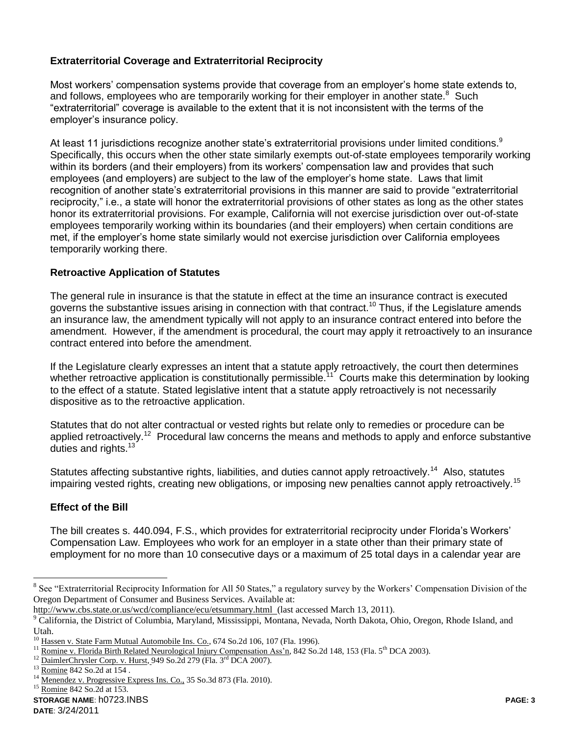# **Extraterritorial Coverage and Extraterritorial Reciprocity**

Most workers' compensation systems provide that coverage from an employer's home state extends to, and follows, employees who are temporarily working for their employer in another state. $8$  Such "extraterritorial" coverage is available to the extent that it is not inconsistent with the terms of the employer's insurance policy.

At least 11 jurisdictions recognize another state's extraterritorial provisions under limited conditions.<sup>9</sup> Specifically, this occurs when the other state similarly exempts out-of-state employees temporarily working within its borders (and their employers) from its workers' compensation law and provides that such employees (and employers) are subject to the law of the employer's home state. Laws that limit recognition of another state's extraterritorial provisions in this manner are said to provide "extraterritorial reciprocity," i.e., a state will honor the extraterritorial provisions of other states as long as the other states honor its extraterritorial provisions. For example, California will not exercise jurisdiction over out-of-state employees temporarily working within its boundaries (and their employers) when certain conditions are met, if the employer's home state similarly would not exercise jurisdiction over California employees temporarily working there.

# **Retroactive Application of Statutes**

The general rule in insurance is that the statute in effect at the time an insurance contract is executed governs the substantive issues arising in connection with that contract.<sup>10</sup> Thus, if the Legislature amends an insurance law, the amendment typically will not apply to an insurance contract entered into before the amendment. However, if the amendment is procedural, the court may apply it retroactively to an insurance contract entered into before the amendment.

If the Legislature clearly expresses an intent that a statute apply retroactively, the court then determines whether retroactive application is constitutionally permissible.<sup>11</sup> Courts make this determination by looking to the effect of a statute. Stated legislative intent that a statute apply retroactively is not necessarily dispositive as to the retroactive application.

Statutes that do not alter contractual or vested rights but relate only to remedies or procedure can be applied retroactively.<sup>12</sup> Procedural law concerns the means and methods to apply and enforce substantive duties and rights.<sup>13</sup>

Statutes affecting substantive rights, liabilities, and duties cannot apply retroactively.<sup>14</sup> Also, statutes impairing vested rights, creating new obligations, or imposing new penalties cannot apply retroactively.<sup>15</sup>

# **Effect of the Bill**

The bill creates s. 440.094, F.S., which provides for extraterritorial reciprocity under Florida's Workers' Compensation Law. Employees who work for an employer in a state other than their primary state of employment for no more than 10 consecutive days or a maximum of 25 total days in a calendar year are

http://www.cbs.state.or.us/wcd/compliance/ecu/etsummary.html (last accessed March 13, 2011).

 $\overline{a}$ 

<sup>&</sup>lt;sup>8</sup> See "Extraterritorial Reciprocity Information for All 50 States," a regulatory survey by the Workers' Compensation Division of the Oregon Department of Consumer and Business Services. Available at:

<sup>&</sup>lt;sup>9</sup> California, the District of Columbia, Maryland, Mississippi, Montana, Nevada, North Dakota, Ohio, Oregon, Rhode Island, and Utah.

<sup>&</sup>lt;sup>10</sup> Hassen v. State Farm Mutual Automobile Ins. Co., 674 So.2d 106, 107 (Fla. 1996).

<sup>&</sup>lt;sup>11</sup> Romine v. Florida Birth Related Neurological Injury Compensation Ass'n, 842 So.2d 148, 153 (Fla. 5<sup>th</sup> DCA 2003).

<sup>&</sup>lt;sup>12</sup> DaimlerChrysler Corp. v. Hurst, 949 So.2d 279 (Fla. 3<sup>rd</sup> DCA 2007).

<sup>13</sup> Romine 842 So.2d at 154 .

<sup>&</sup>lt;sup>14</sup> Menendez v. Progressive Express Ins. Co., 35 So.3d 873 (Fla. 2010).<br><sup>15</sup> Demins 842 So.2d at 152.

Romine 842 So.2d at 153.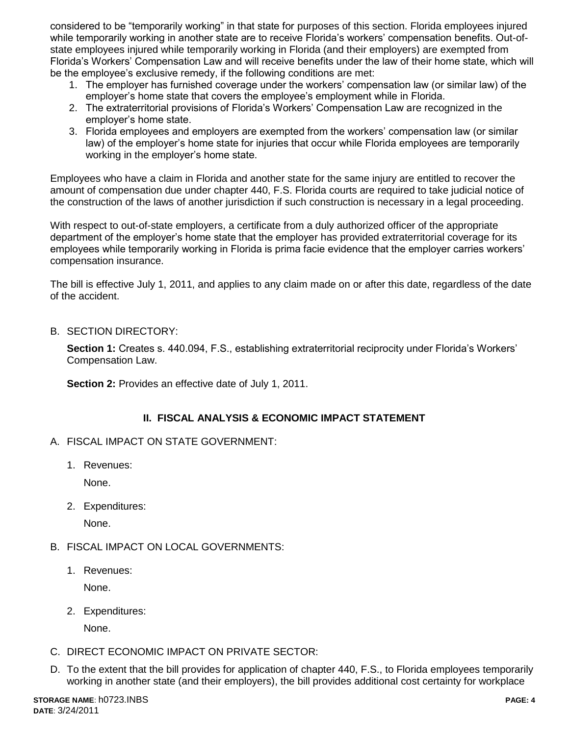considered to be "temporarily working" in that state for purposes of this section. Florida employees injured while temporarily working in another state are to receive Florida's workers' compensation benefits. Out-ofstate employees injured while temporarily working in Florida (and their employers) are exempted from Florida's Workers' Compensation Law and will receive benefits under the law of their home state, which will be the employee's exclusive remedy, if the following conditions are met:

- 1. The employer has furnished coverage under the workers' compensation law (or similar law) of the employer's home state that covers the employee's employment while in Florida.
- 2. The extraterritorial provisions of Florida's Workers' Compensation Law are recognized in the employer's home state.
- 3. Florida employees and employers are exempted from the workers' compensation law (or similar law) of the employer's home state for injuries that occur while Florida employees are temporarily working in the employer's home state.

Employees who have a claim in Florida and another state for the same injury are entitled to recover the amount of compensation due under chapter 440, F.S. Florida courts are required to take judicial notice of the construction of the laws of another jurisdiction if such construction is necessary in a legal proceeding.

With respect to out-of-state employers, a certificate from a duly authorized officer of the appropriate department of the employer's home state that the employer has provided extraterritorial coverage for its employees while temporarily working in Florida is prima facie evidence that the employer carries workers' compensation insurance.

The bill is effective July 1, 2011, and applies to any claim made on or after this date, regardless of the date of the accident.

B. SECTION DIRECTORY:

**Section 1:** Creates s. 440.094, F.S., establishing extraterritorial reciprocity under Florida's Workers' Compensation Law.

**Section 2: Provides an effective date of July 1, 2011.** 

# **II. FISCAL ANALYSIS & ECONOMIC IMPACT STATEMENT**

- A. FISCAL IMPACT ON STATE GOVERNMENT:
	- 1. Revenues:

None.

2. Expenditures:

None.

- B. FISCAL IMPACT ON LOCAL GOVERNMENTS:
	- 1. Revenues:

None.

2. Expenditures:

None.

- C. DIRECT ECONOMIC IMPACT ON PRIVATE SECTOR:
- D. To the extent that the bill provides for application of chapter 440, F.S., to Florida employees temporarily working in another state (and their employers), the bill provides additional cost certainty for workplace